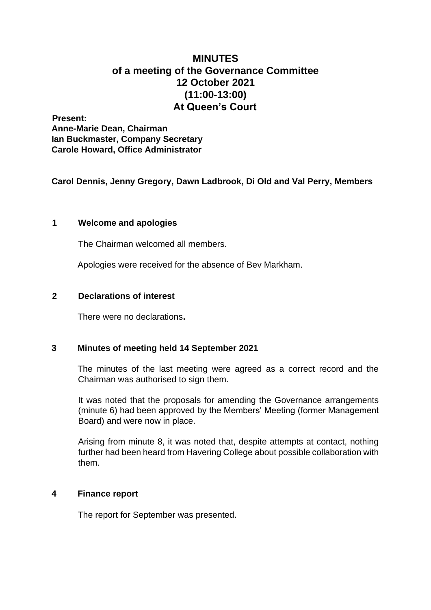# **MINUTES of a meeting of the Governance Committee 12 October 2021 (11:00-13:00) At Queen's Court**

**Present: Anne-Marie Dean, Chairman Ian Buckmaster, Company Secretary Carole Howard, Office Administrator** 

**Carol Dennis, Jenny Gregory, Dawn Ladbrook, Di Old and Val Perry, Members** 

# **1 Welcome and apologies**

The Chairman welcomed all members.

Apologies were received for the absence of Bev Markham.

## **2 Declarations of interest**

There were no declarations**.**

# **3 Minutes of meeting held 14 September 2021**

The minutes of the last meeting were agreed as a correct record and the Chairman was authorised to sign them.

It was noted that the proposals for amending the Governance arrangements (minute 6) had been approved by the Members' Meeting (former Management Board) and were now in place.

Arising from minute 8, it was noted that, despite attempts at contact, nothing further had been heard from Havering College about possible collaboration with them.

# **4 Finance report**

The report for September was presented.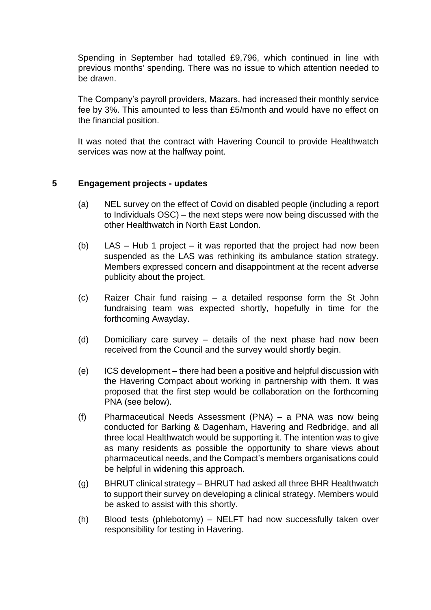Spending in September had totalled £9,796, which continued in line with previous months' spending. There was no issue to which attention needed to be drawn.

The Company's payroll providers, Mazars, had increased their monthly service fee by 3%. This amounted to less than £5/month and would have no effect on the financial position.

It was noted that the contract with Havering Council to provide Healthwatch services was now at the halfway point.

# **5 Engagement projects - updates**

- (a) NEL survey on the effect of Covid on disabled people (including a report to Individuals OSC) – the next steps were now being discussed with the other Healthwatch in North East London.
- (b) LAS Hub 1 project it was reported that the project had now been suspended as the LAS was rethinking its ambulance station strategy. Members expressed concern and disappointment at the recent adverse publicity about the project.
- (c) Raizer Chair fund raising a detailed response form the St John fundraising team was expected shortly, hopefully in time for the forthcoming Awayday.
- (d) Domiciliary care survey details of the next phase had now been received from the Council and the survey would shortly begin.
- (e) ICS development there had been a positive and helpful discussion with the Havering Compact about working in partnership with them. It was proposed that the first step would be collaboration on the forthcoming PNA (see below).
- (f) Pharmaceutical Needs Assessment (PNA) a PNA was now being conducted for Barking & Dagenham, Havering and Redbridge, and all three local Healthwatch would be supporting it. The intention was to give as many residents as possible the opportunity to share views about pharmaceutical needs, and the Compact's members organisations could be helpful in widening this approach.
- (g) BHRUT clinical strategy BHRUT had asked all three BHR Healthwatch to support their survey on developing a clinical strategy. Members would be asked to assist with this shortly.
- (h) Blood tests (phlebotomy) NELFT had now successfully taken over responsibility for testing in Havering.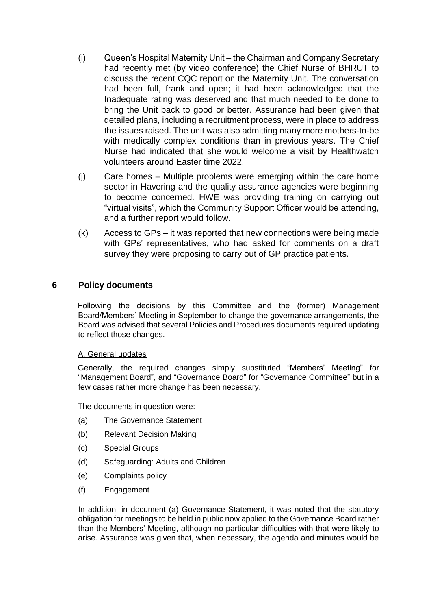- (i) Queen's Hospital Maternity Unit the Chairman and Company Secretary had recently met (by video conference) the Chief Nurse of BHRUT to discuss the recent CQC report on the Maternity Unit. The conversation had been full, frank and open; it had been acknowledged that the Inadequate rating was deserved and that much needed to be done to bring the Unit back to good or better. Assurance had been given that detailed plans, including a recruitment process, were in place to address the issues raised. The unit was also admitting many more mothers-to-be with medically complex conditions than in previous years. The Chief Nurse had indicated that she would welcome a visit by Healthwatch volunteers around Easter time 2022.
- (j) Care homes Multiple problems were emerging within the care home sector in Havering and the quality assurance agencies were beginning to become concerned. HWE was providing training on carrying out "virtual visits", which the Community Support Officer would be attending, and a further report would follow.
- (k) Access to GPs it was reported that new connections were being made with GPs' representatives, who had asked for comments on a draft survey they were proposing to carry out of GP practice patients.

## **6 Policy documents**

Following the decisions by this Committee and the (former) Management Board/Members' Meeting in September to change the governance arrangements, the Board was advised that several Policies and Procedures documents required updating to reflect those changes.

#### A. General updates

Generally, the required changes simply substituted "Members' Meeting" for "Management Board", and "Governance Board" for "Governance Committee" but in a few cases rather more change has been necessary.

The documents in question were:

- (a) The Governance Statement
- (b) Relevant Decision Making
- (c) Special Groups
- (d) Safeguarding: Adults and Children
- (e) Complaints policy
- (f) Engagement

In addition, in document (a) Governance Statement, it was noted that the statutory obligation for meetings to be held in public now applied to the Governance Board rather than the Members' Meeting, although no particular difficulties with that were likely to arise. Assurance was given that, when necessary, the agenda and minutes would be